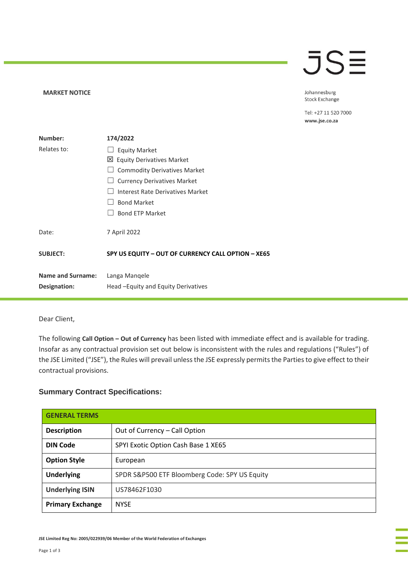## **JSE**

**MARKET NOTICE** 

Johannesburg Stock Exchange

Tel: +27 11 520 7000 www.jse.co.za

| Number:                           | 174/2022                                              |
|-----------------------------------|-------------------------------------------------------|
| Relates to:                       | <b>Equity Market</b>                                  |
|                                   | 凶 Equity Derivatives Market                           |
|                                   | <b>Commodity Derivatives Market</b>                   |
|                                   | <b>Currency Derivatives Market</b>                    |
|                                   | Interest Rate Derivatives Market                      |
|                                   | <b>Bond Market</b>                                    |
|                                   | <b>Bond ETP Market</b>                                |
| Date:                             | 7 April 2022                                          |
| <b>SUBJECT:</b>                   | SPY US EQUITY - OUT OF CURRENCY CALL OPTION - XE65    |
| Name and Surname:<br>Designation: | Langa Mangele<br>Head – Equity and Equity Derivatives |
|                                   |                                                       |

Dear Client,

The following **Call Option – Out of Currency** has been listed with immediate effect and is available for trading. Insofar as any contractual provision set out below is inconsistent with the rules and regulations ("Rules") of the JSE Limited ("JSE"), the Rules will prevail unless the JSE expressly permits the Parties to give effect to their contractual provisions.

## **Summary Contract Specifications:**

| <b>GENERAL TERMS</b>    |                                               |
|-------------------------|-----------------------------------------------|
| <b>Description</b>      | Out of Currency - Call Option                 |
| <b>DIN Code</b>         | SPYI Exotic Option Cash Base 1 XE65           |
| <b>Option Style</b>     | European                                      |
| <b>Underlying</b>       | SPDR S&P500 ETF Bloomberg Code: SPY US Equity |
| <b>Underlying ISIN</b>  | US78462F1030                                  |
| <b>Primary Exchange</b> | <b>NYSE</b>                                   |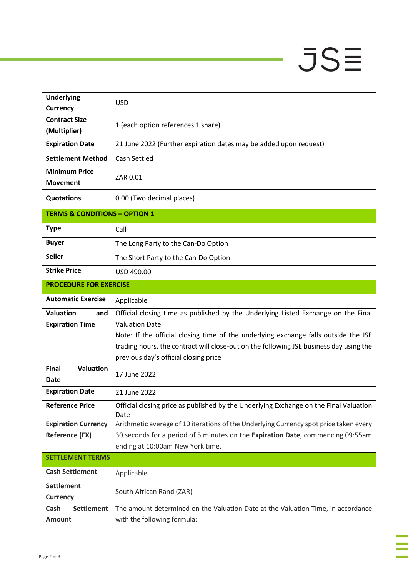## $JSE$

÷

à,

| <b>Underlying</b><br><b>Currency</b>              | <b>USD</b>                                                                                                                                                                                                                                                                                                                           |  |
|---------------------------------------------------|--------------------------------------------------------------------------------------------------------------------------------------------------------------------------------------------------------------------------------------------------------------------------------------------------------------------------------------|--|
| <b>Contract Size</b><br>(Multiplier)              | 1 (each option references 1 share)                                                                                                                                                                                                                                                                                                   |  |
| <b>Expiration Date</b>                            | 21 June 2022 (Further expiration dates may be added upon request)                                                                                                                                                                                                                                                                    |  |
| <b>Settlement Method</b>                          | Cash Settled                                                                                                                                                                                                                                                                                                                         |  |
| <b>Minimum Price</b><br><b>Movement</b>           | ZAR 0.01                                                                                                                                                                                                                                                                                                                             |  |
| <b>Quotations</b>                                 | 0.00 (Two decimal places)                                                                                                                                                                                                                                                                                                            |  |
| <b>TERMS &amp; CONDITIONS - OPTION 1</b>          |                                                                                                                                                                                                                                                                                                                                      |  |
| <b>Type</b>                                       | Call                                                                                                                                                                                                                                                                                                                                 |  |
| <b>Buyer</b>                                      | The Long Party to the Can-Do Option                                                                                                                                                                                                                                                                                                  |  |
| <b>Seller</b>                                     | The Short Party to the Can-Do Option                                                                                                                                                                                                                                                                                                 |  |
| <b>Strike Price</b>                               | USD 490.00                                                                                                                                                                                                                                                                                                                           |  |
| <b>PROCEDURE FOR EXERCISE</b>                     |                                                                                                                                                                                                                                                                                                                                      |  |
| <b>Automatic Exercise</b>                         | Applicable                                                                                                                                                                                                                                                                                                                           |  |
| <b>Valuation</b><br>and<br><b>Expiration Time</b> | Official closing time as published by the Underlying Listed Exchange on the Final<br><b>Valuation Date</b><br>Note: If the official closing time of the underlying exchange falls outside the JSE<br>trading hours, the contract will close-out on the following JSE business day using the<br>previous day's official closing price |  |
| <b>Valuation</b><br><b>Final</b><br>Date          | 17 June 2022                                                                                                                                                                                                                                                                                                                         |  |
| <b>Expiration Date</b>                            | 21 June 2022                                                                                                                                                                                                                                                                                                                         |  |
| <b>Reference Price</b>                            | Official closing price as published by the Underlying Exchange on the Final Valuation<br>Date                                                                                                                                                                                                                                        |  |
| <b>Expiration Currency</b>                        | Arithmetic average of 10 iterations of the Underlying Currency spot price taken every                                                                                                                                                                                                                                                |  |
| <b>Reference (FX)</b>                             | 30 seconds for a period of 5 minutes on the Expiration Date, commencing 09:55am                                                                                                                                                                                                                                                      |  |
| <b>SETTLEMENT TERMS</b>                           | ending at 10:00am New York time.                                                                                                                                                                                                                                                                                                     |  |
| <b>Cash Settlement</b>                            | Applicable                                                                                                                                                                                                                                                                                                                           |  |
| <b>Settlement</b><br><b>Currency</b>              | South African Rand (ZAR)                                                                                                                                                                                                                                                                                                             |  |
| <b>Settlement</b><br>Cash<br><b>Amount</b>        | The amount determined on the Valuation Date at the Valuation Time, in accordance<br>with the following formula:                                                                                                                                                                                                                      |  |